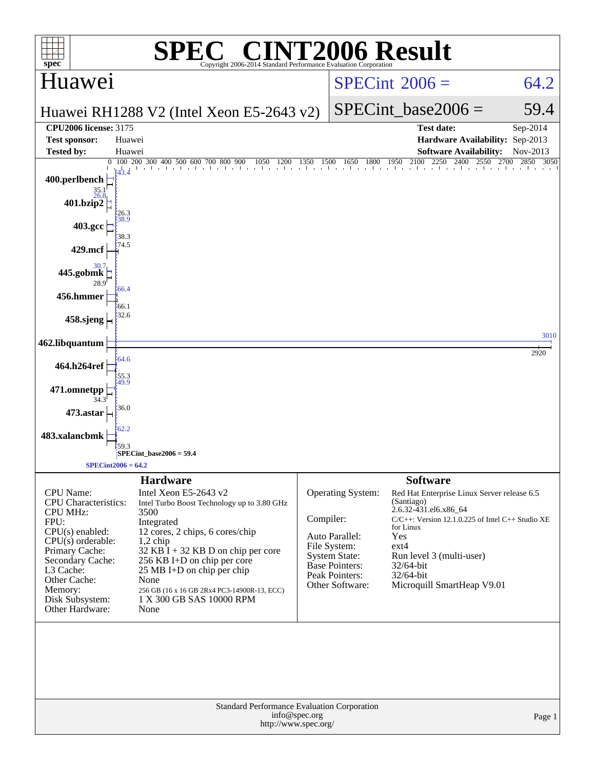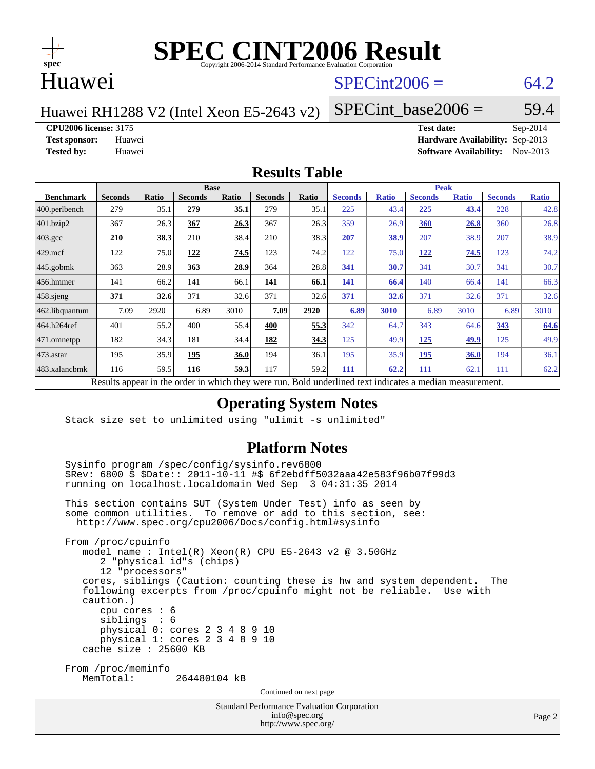

# **[SPEC CINT2006 Result](http://www.spec.org/auto/cpu2006/Docs/result-fields.html#SPECCINT2006Result)**

#### Huawei

#### $SPECint2006 = 64.2$  $SPECint2006 = 64.2$

Huawei RH1288 V2 (Intel Xeon E5-2643 v2)

SPECint base2006 =  $59.4$ 

**[CPU2006 license:](http://www.spec.org/auto/cpu2006/Docs/result-fields.html#CPU2006license)** 3175 **[Test date:](http://www.spec.org/auto/cpu2006/Docs/result-fields.html#Testdate)** Sep-2014

**[Test sponsor:](http://www.spec.org/auto/cpu2006/Docs/result-fields.html#Testsponsor)** Huawei **[Hardware Availability:](http://www.spec.org/auto/cpu2006/Docs/result-fields.html#HardwareAvailability)** Sep-2013 **[Tested by:](http://www.spec.org/auto/cpu2006/Docs/result-fields.html#Testedby)** Huawei **[Software Availability:](http://www.spec.org/auto/cpu2006/Docs/result-fields.html#SoftwareAvailability)** Nov-2013

#### **[Results Table](http://www.spec.org/auto/cpu2006/Docs/result-fields.html#ResultsTable)**

|                                                                                | <b>Base</b>                 |       |                |                 |                |       | <b>Peak</b>                                 |              |                |              |                |              |
|--------------------------------------------------------------------------------|-----------------------------|-------|----------------|-----------------|----------------|-------|---------------------------------------------|--------------|----------------|--------------|----------------|--------------|
| <b>Benchmark</b>                                                               | <b>Seconds</b>              | Ratio | <b>Seconds</b> | Ratio           | <b>Seconds</b> | Ratio | <b>Seconds</b>                              | <b>Ratio</b> | <b>Seconds</b> | <b>Ratio</b> | <b>Seconds</b> | <b>Ratio</b> |
| $ 400.\text{perlbench}$                                                        | 279                         | 35.1  | 279            | <u>35.1</u>     | 279            | 35.1  | 225                                         | 43.4         | 225            | 43.4         | 228            | 42.8         |
| 401.bzip2                                                                      | 367                         | 26.3  | 367            | 26.3            | 367            | 26.3  | 359                                         | 26.9         | 360            | 26.8         | 360            | 26.8         |
| $403.\mathrm{gcc}$                                                             | 210                         | 38.3  | 210            | 38.4            | 210            | 38.3  | 207                                         | 38.9         | 207            | 38.9         | 207            | 38.9         |
| $429$ mcf                                                                      | 122                         | 75.0  | 122            | 74.5            | 123            | 74.2  | 122                                         | 75.0         | <u>122</u>     | 74.5         | 123            | 74.2         |
| $445$ .gobmk                                                                   | 363                         | 28.9  | 363            | 28.9            | 364            | 28.8  | 341                                         | 30.7         | 341            | 30.7         | 341            | 30.7         |
| $456.$ hmmer                                                                   | 141                         | 66.2  | 141            | 66.1            | 141            | 66.1  | 141                                         | 66.4         | 140            | 66.4         | 141            | 66.3         |
| $458$ .sjeng                                                                   | 371                         | 32.6  | 371            | 32.6            | 371            | 32.6  | 371                                         | 32.6         | 371            | 32.6         | 371            | 32.6         |
|                                                                                | 7.09                        | 2920  | 6.89           | 3010            | 7.09           | 2920  | 6.89                                        | 3010         | 6.89           | 3010         | 6.89           | 3010         |
|                                                                                | 401                         | 55.2  | 400            | 55.4            | 400            | 55.3  | 342                                         | 64.7         | 343            | 64.6         | 343            | 64.6         |
|                                                                                | 182                         | 34.3  | 181            | 34.4            | 182            | 34.3  | 125                                         | 49.9         | 125            | 49.9         | 125            | 49.9         |
|                                                                                | 195                         | 35.9  | 195            | 36.0            | 194            | 36.1  | 195                                         | 35.9         | 195            | <b>36.0</b>  | 194            | 36.1         |
|                                                                                | 116                         | 59.5  | 116            | 59.3            | 117            | 59.2  | 111                                         | 62.2         | 111            | 62.          | 111            | 62.2         |
| 462.libquantum<br>464.h264ref<br>471.omnetpp<br>$473$ . astar<br>483.xalancbmk | $\mathbf{D}$ . $\mathbf{L}$ | 2.111 |                | 1.3.1.<br>$-41$ |                |       | $D$ and $L$ and $L$ and $L$ and $L$ and $L$ |              | $\mathbf{1}$ . |              |                |              |

Results appear in the [order in which they were run.](http://www.spec.org/auto/cpu2006/Docs/result-fields.html#RunOrder) Bold underlined text [indicates a median measurement.](http://www.spec.org/auto/cpu2006/Docs/result-fields.html#Median)

#### **[Operating System Notes](http://www.spec.org/auto/cpu2006/Docs/result-fields.html#OperatingSystemNotes)**

Stack size set to unlimited using "ulimit -s unlimited"

#### **[Platform Notes](http://www.spec.org/auto/cpu2006/Docs/result-fields.html#PlatformNotes)**

Standard Performance Evaluation Corporation Sysinfo program /spec/config/sysinfo.rev6800 \$Rev: 6800 \$ \$Date:: 2011-10-11 #\$ 6f2ebdff5032aaa42e583f96b07f99d3 running on localhost.localdomain Wed Sep 3 04:31:35 2014 This section contains SUT (System Under Test) info as seen by some common utilities. To remove or add to this section, see: <http://www.spec.org/cpu2006/Docs/config.html#sysinfo> From /proc/cpuinfo model name : Intel(R) Xeon(R) CPU E5-2643 v2 @ 3.50GHz 2 "physical id"s (chips) 12 "processors" cores, siblings (Caution: counting these is hw and system dependent. The following excerpts from /proc/cpuinfo might not be reliable. Use with caution.) cpu cores : 6 siblings : 6 physical 0: cores 2 3 4 8 9 10 physical 1: cores 2 3 4 8 9 10 cache size : 25600 KB From /proc/meminfo<br>MemTotal: 264480104 kB Continued on next page

[info@spec.org](mailto:info@spec.org) <http://www.spec.org/>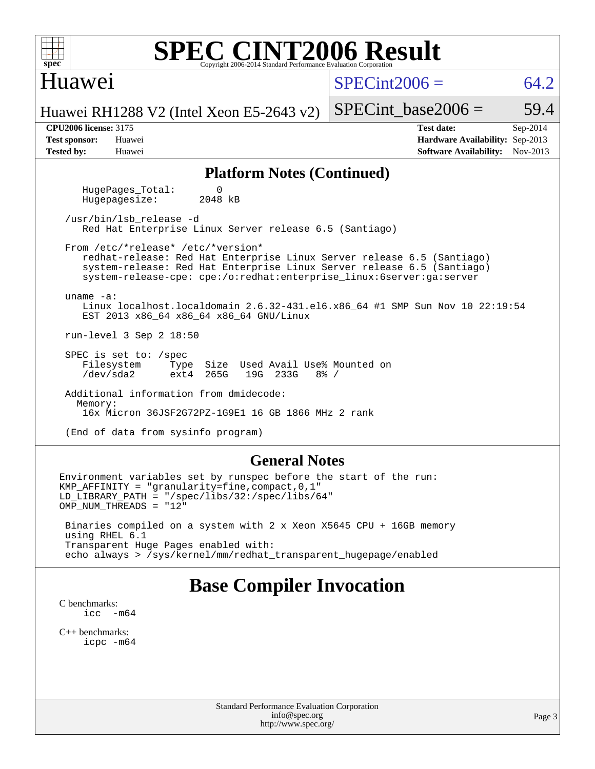| <b>SPEC CINT2006 Result</b><br>spec <sup>®</sup><br>Copyright 2006-2014 Standard Performance Evaluation Corporation                                                                                                                                                            |                                                                                                               |  |  |  |  |  |  |  |  |
|--------------------------------------------------------------------------------------------------------------------------------------------------------------------------------------------------------------------------------------------------------------------------------|---------------------------------------------------------------------------------------------------------------|--|--|--|--|--|--|--|--|
| Huawei                                                                                                                                                                                                                                                                         | $SPECint2006 =$<br>64.2                                                                                       |  |  |  |  |  |  |  |  |
| Huawei RH1288 V2 (Intel Xeon E5-2643 v2)                                                                                                                                                                                                                                       | $SPECint\_base2006 =$<br>59.4                                                                                 |  |  |  |  |  |  |  |  |
| <b>CPU2006 license: 3175</b><br><b>Test sponsor:</b><br>Huawei<br><b>Tested by:</b><br>Huawei                                                                                                                                                                                  | <b>Test date:</b><br>Sep-2014<br>Hardware Availability: Sep-2013<br><b>Software Availability:</b><br>Nov-2013 |  |  |  |  |  |  |  |  |
| <b>Platform Notes (Continued)</b>                                                                                                                                                                                                                                              |                                                                                                               |  |  |  |  |  |  |  |  |
| HugePages_Total:<br>0<br>2048 kB<br>Hugepagesize:                                                                                                                                                                                                                              |                                                                                                               |  |  |  |  |  |  |  |  |
| /usr/bin/lsb release -d<br>Red Hat Enterprise Linux Server release 6.5 (Santiago)                                                                                                                                                                                              |                                                                                                               |  |  |  |  |  |  |  |  |
| From /etc/*release* /etc/*version*<br>redhat-release: Red Hat Enterprise Linux Server release 6.5 (Santiago)<br>system-release: Red Hat Enterprise Linux Server release 6.5 (Santiago)<br>system-release-cpe: cpe:/o:redhat:enterprise_linux:6server:ga:server<br>$uname -a$ : |                                                                                                               |  |  |  |  |  |  |  |  |
| Linux localhost.localdomain 2.6.32-431.el6.x86_64 #1 SMP Sun Nov 10 22:19:54<br>EST 2013 x86_64 x86_64 x86_64 GNU/Linux                                                                                                                                                        |                                                                                                               |  |  |  |  |  |  |  |  |
| run-level 3 Sep 2 18:50                                                                                                                                                                                                                                                        |                                                                                                               |  |  |  |  |  |  |  |  |
| SPEC is set to: /spec<br>Filesystem<br>Size Used Avail Use% Mounted on<br>Type<br>265G<br>19G 233G<br>/dev/sda2<br>ext4<br>$8\frac{6}{6}$ /                                                                                                                                    |                                                                                                               |  |  |  |  |  |  |  |  |
| Additional information from dmidecode:<br>Memory:<br>16x Micron 36JSF2G72PZ-1G9E1 16 GB 1866 MHz 2 rank                                                                                                                                                                        |                                                                                                               |  |  |  |  |  |  |  |  |
| (End of data from sysinfo program)                                                                                                                                                                                                                                             |                                                                                                               |  |  |  |  |  |  |  |  |
| <b>General Notes</b><br>Environment variables set by runspec before the start of the run:<br>KMP_AFFINITY = "granularity=fine, compact, $0,1$ "<br>$LD_LIBRARY_PATH = "/gpec/libs/32://spec/libs/64"$<br>OMP_NUM_THREADS = "12"                                                |                                                                                                               |  |  |  |  |  |  |  |  |

 Binaries compiled on a system with 2 x Xeon X5645 CPU + 16GB memory using RHEL 6.1 Transparent Huge Pages enabled with: echo always > /sys/kernel/mm/redhat\_transparent\_hugepage/enabled

# **[Base Compiler Invocation](http://www.spec.org/auto/cpu2006/Docs/result-fields.html#BaseCompilerInvocation)**

[C benchmarks](http://www.spec.org/auto/cpu2006/Docs/result-fields.html#Cbenchmarks): [icc -m64](http://www.spec.org/cpu2006/results/res2014q3/cpu2006-20140902-31142.flags.html#user_CCbase_intel_icc_64bit_f346026e86af2a669e726fe758c88044)

[C++ benchmarks:](http://www.spec.org/auto/cpu2006/Docs/result-fields.html#CXXbenchmarks) [icpc -m64](http://www.spec.org/cpu2006/results/res2014q3/cpu2006-20140902-31142.flags.html#user_CXXbase_intel_icpc_64bit_fc66a5337ce925472a5c54ad6a0de310)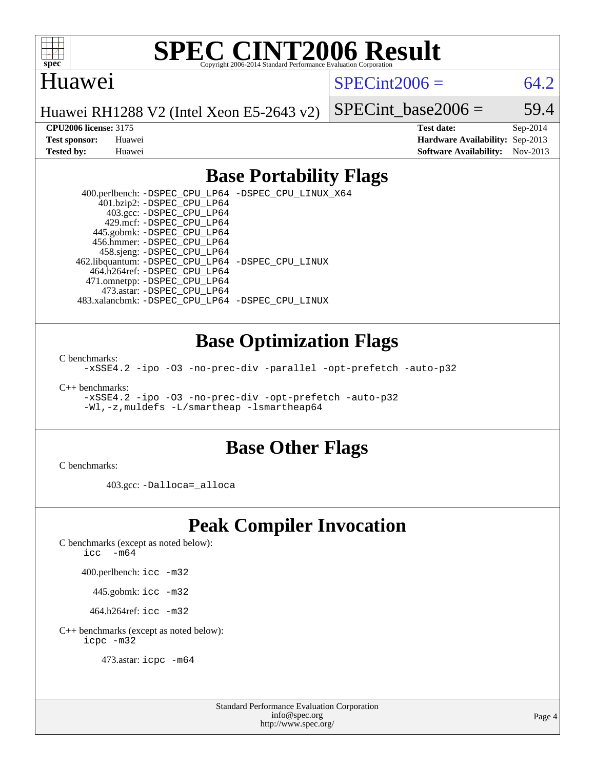

# **[SPEC CINT2006 Result](http://www.spec.org/auto/cpu2006/Docs/result-fields.html#SPECCINT2006Result)**

#### Huawei

 $SPECint2006 = 64.2$  $SPECint2006 = 64.2$ 

Huawei RH1288 V2 (Intel Xeon E5-2643 v2)

SPECint base2006 =  $59.4$ 

**[CPU2006 license:](http://www.spec.org/auto/cpu2006/Docs/result-fields.html#CPU2006license)** 3175 **[Test date:](http://www.spec.org/auto/cpu2006/Docs/result-fields.html#Testdate)** Sep-2014 **[Test sponsor:](http://www.spec.org/auto/cpu2006/Docs/result-fields.html#Testsponsor)** Huawei **[Hardware Availability:](http://www.spec.org/auto/cpu2006/Docs/result-fields.html#HardwareAvailability)** Sep-2013 **[Tested by:](http://www.spec.org/auto/cpu2006/Docs/result-fields.html#Testedby)** Huawei **[Software Availability:](http://www.spec.org/auto/cpu2006/Docs/result-fields.html#SoftwareAvailability)** Nov-2013

#### **[Base Portability Flags](http://www.spec.org/auto/cpu2006/Docs/result-fields.html#BasePortabilityFlags)**

 400.perlbench: [-DSPEC\\_CPU\\_LP64](http://www.spec.org/cpu2006/results/res2014q3/cpu2006-20140902-31142.flags.html#b400.perlbench_basePORTABILITY_DSPEC_CPU_LP64) [-DSPEC\\_CPU\\_LINUX\\_X64](http://www.spec.org/cpu2006/results/res2014q3/cpu2006-20140902-31142.flags.html#b400.perlbench_baseCPORTABILITY_DSPEC_CPU_LINUX_X64) 401.bzip2: [-DSPEC\\_CPU\\_LP64](http://www.spec.org/cpu2006/results/res2014q3/cpu2006-20140902-31142.flags.html#suite_basePORTABILITY401_bzip2_DSPEC_CPU_LP64) 403.gcc: [-DSPEC\\_CPU\\_LP64](http://www.spec.org/cpu2006/results/res2014q3/cpu2006-20140902-31142.flags.html#suite_basePORTABILITY403_gcc_DSPEC_CPU_LP64) 429.mcf: [-DSPEC\\_CPU\\_LP64](http://www.spec.org/cpu2006/results/res2014q3/cpu2006-20140902-31142.flags.html#suite_basePORTABILITY429_mcf_DSPEC_CPU_LP64) 445.gobmk: [-DSPEC\\_CPU\\_LP64](http://www.spec.org/cpu2006/results/res2014q3/cpu2006-20140902-31142.flags.html#suite_basePORTABILITY445_gobmk_DSPEC_CPU_LP64) 456.hmmer: [-DSPEC\\_CPU\\_LP64](http://www.spec.org/cpu2006/results/res2014q3/cpu2006-20140902-31142.flags.html#suite_basePORTABILITY456_hmmer_DSPEC_CPU_LP64) 458.sjeng: [-DSPEC\\_CPU\\_LP64](http://www.spec.org/cpu2006/results/res2014q3/cpu2006-20140902-31142.flags.html#suite_basePORTABILITY458_sjeng_DSPEC_CPU_LP64) 462.libquantum: [-DSPEC\\_CPU\\_LP64](http://www.spec.org/cpu2006/results/res2014q3/cpu2006-20140902-31142.flags.html#suite_basePORTABILITY462_libquantum_DSPEC_CPU_LP64) [-DSPEC\\_CPU\\_LINUX](http://www.spec.org/cpu2006/results/res2014q3/cpu2006-20140902-31142.flags.html#b462.libquantum_baseCPORTABILITY_DSPEC_CPU_LINUX) 464.h264ref: [-DSPEC\\_CPU\\_LP64](http://www.spec.org/cpu2006/results/res2014q3/cpu2006-20140902-31142.flags.html#suite_basePORTABILITY464_h264ref_DSPEC_CPU_LP64) 471.omnetpp: [-DSPEC\\_CPU\\_LP64](http://www.spec.org/cpu2006/results/res2014q3/cpu2006-20140902-31142.flags.html#suite_basePORTABILITY471_omnetpp_DSPEC_CPU_LP64) 473.astar: [-DSPEC\\_CPU\\_LP64](http://www.spec.org/cpu2006/results/res2014q3/cpu2006-20140902-31142.flags.html#suite_basePORTABILITY473_astar_DSPEC_CPU_LP64) 483.xalancbmk: [-DSPEC\\_CPU\\_LP64](http://www.spec.org/cpu2006/results/res2014q3/cpu2006-20140902-31142.flags.html#suite_basePORTABILITY483_xalancbmk_DSPEC_CPU_LP64) [-DSPEC\\_CPU\\_LINUX](http://www.spec.org/cpu2006/results/res2014q3/cpu2006-20140902-31142.flags.html#b483.xalancbmk_baseCXXPORTABILITY_DSPEC_CPU_LINUX)

#### **[Base Optimization Flags](http://www.spec.org/auto/cpu2006/Docs/result-fields.html#BaseOptimizationFlags)**

[C benchmarks](http://www.spec.org/auto/cpu2006/Docs/result-fields.html#Cbenchmarks):

[-xSSE4.2](http://www.spec.org/cpu2006/results/res2014q3/cpu2006-20140902-31142.flags.html#user_CCbase_f-xSSE42_f91528193cf0b216347adb8b939d4107) [-ipo](http://www.spec.org/cpu2006/results/res2014q3/cpu2006-20140902-31142.flags.html#user_CCbase_f-ipo) [-O3](http://www.spec.org/cpu2006/results/res2014q3/cpu2006-20140902-31142.flags.html#user_CCbase_f-O3) [-no-prec-div](http://www.spec.org/cpu2006/results/res2014q3/cpu2006-20140902-31142.flags.html#user_CCbase_f-no-prec-div) [-parallel](http://www.spec.org/cpu2006/results/res2014q3/cpu2006-20140902-31142.flags.html#user_CCbase_f-parallel) [-opt-prefetch](http://www.spec.org/cpu2006/results/res2014q3/cpu2006-20140902-31142.flags.html#user_CCbase_f-opt-prefetch) [-auto-p32](http://www.spec.org/cpu2006/results/res2014q3/cpu2006-20140902-31142.flags.html#user_CCbase_f-auto-p32)

[C++ benchmarks:](http://www.spec.org/auto/cpu2006/Docs/result-fields.html#CXXbenchmarks)

[-xSSE4.2](http://www.spec.org/cpu2006/results/res2014q3/cpu2006-20140902-31142.flags.html#user_CXXbase_f-xSSE42_f91528193cf0b216347adb8b939d4107) [-ipo](http://www.spec.org/cpu2006/results/res2014q3/cpu2006-20140902-31142.flags.html#user_CXXbase_f-ipo) [-O3](http://www.spec.org/cpu2006/results/res2014q3/cpu2006-20140902-31142.flags.html#user_CXXbase_f-O3) [-no-prec-div](http://www.spec.org/cpu2006/results/res2014q3/cpu2006-20140902-31142.flags.html#user_CXXbase_f-no-prec-div) [-opt-prefetch](http://www.spec.org/cpu2006/results/res2014q3/cpu2006-20140902-31142.flags.html#user_CXXbase_f-opt-prefetch) [-auto-p32](http://www.spec.org/cpu2006/results/res2014q3/cpu2006-20140902-31142.flags.html#user_CXXbase_f-auto-p32) [-Wl,-z,muldefs](http://www.spec.org/cpu2006/results/res2014q3/cpu2006-20140902-31142.flags.html#user_CXXbase_link_force_multiple1_74079c344b956b9658436fd1b6dd3a8a) [-L/smartheap -lsmartheap64](http://www.spec.org/cpu2006/results/res2014q3/cpu2006-20140902-31142.flags.html#user_CXXbase_SmartHeap64_5e654037dadeae1fe403ab4b4466e60b)

#### **[Base Other Flags](http://www.spec.org/auto/cpu2006/Docs/result-fields.html#BaseOtherFlags)**

[C benchmarks](http://www.spec.org/auto/cpu2006/Docs/result-fields.html#Cbenchmarks):

403.gcc: [-Dalloca=\\_alloca](http://www.spec.org/cpu2006/results/res2014q3/cpu2006-20140902-31142.flags.html#b403.gcc_baseEXTRA_CFLAGS_Dalloca_be3056838c12de2578596ca5467af7f3)

## **[Peak Compiler Invocation](http://www.spec.org/auto/cpu2006/Docs/result-fields.html#PeakCompilerInvocation)**

[C benchmarks \(except as noted below\)](http://www.spec.org/auto/cpu2006/Docs/result-fields.html#Cbenchmarksexceptasnotedbelow):

[icc -m64](http://www.spec.org/cpu2006/results/res2014q3/cpu2006-20140902-31142.flags.html#user_CCpeak_intel_icc_64bit_f346026e86af2a669e726fe758c88044)

400.perlbench: [icc -m32](http://www.spec.org/cpu2006/results/res2014q3/cpu2006-20140902-31142.flags.html#user_peakCCLD400_perlbench_intel_icc_a6a621f8d50482236b970c6ac5f55f93)

445.gobmk: [icc -m32](http://www.spec.org/cpu2006/results/res2014q3/cpu2006-20140902-31142.flags.html#user_peakCCLD445_gobmk_intel_icc_a6a621f8d50482236b970c6ac5f55f93)

464.h264ref: [icc -m32](http://www.spec.org/cpu2006/results/res2014q3/cpu2006-20140902-31142.flags.html#user_peakCCLD464_h264ref_intel_icc_a6a621f8d50482236b970c6ac5f55f93)

[C++ benchmarks \(except as noted below\):](http://www.spec.org/auto/cpu2006/Docs/result-fields.html#CXXbenchmarksexceptasnotedbelow) [icpc -m32](http://www.spec.org/cpu2006/results/res2014q3/cpu2006-20140902-31142.flags.html#user_CXXpeak_intel_icpc_4e5a5ef1a53fd332b3c49e69c3330699)

473.astar: [icpc -m64](http://www.spec.org/cpu2006/results/res2014q3/cpu2006-20140902-31142.flags.html#user_peakCXXLD473_astar_intel_icpc_64bit_fc66a5337ce925472a5c54ad6a0de310)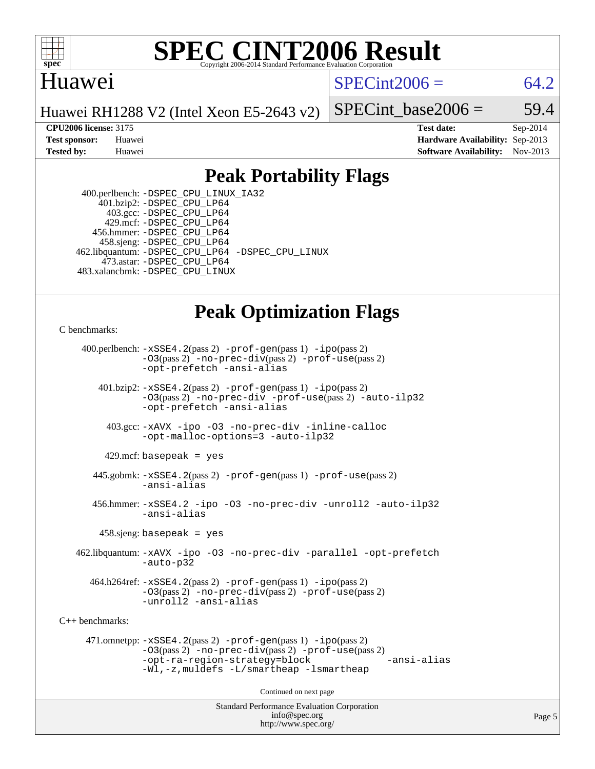

#### **[SPEC CINT2006 Result](http://www.spec.org/auto/cpu2006/Docs/result-fields.html#SPECCINT2006Result)** Copyright 2006-2014 Standard Performance Evaluation C

### Huawei

 $SPECint2006 = 64.2$  $SPECint2006 = 64.2$ 

Huawei RH1288 V2 (Intel Xeon E5-2643 v2)

SPECint base2006 =  $59.4$ 

**[CPU2006 license:](http://www.spec.org/auto/cpu2006/Docs/result-fields.html#CPU2006license)** 3175 **[Test date:](http://www.spec.org/auto/cpu2006/Docs/result-fields.html#Testdate)** Sep-2014 **[Test sponsor:](http://www.spec.org/auto/cpu2006/Docs/result-fields.html#Testsponsor)** Huawei **[Hardware Availability:](http://www.spec.org/auto/cpu2006/Docs/result-fields.html#HardwareAvailability)** Sep-2013 **[Tested by:](http://www.spec.org/auto/cpu2006/Docs/result-fields.html#Testedby)** Huawei **[Software Availability:](http://www.spec.org/auto/cpu2006/Docs/result-fields.html#SoftwareAvailability)** Nov-2013

### **[Peak Portability Flags](http://www.spec.org/auto/cpu2006/Docs/result-fields.html#PeakPortabilityFlags)**

 400.perlbench: [-DSPEC\\_CPU\\_LINUX\\_IA32](http://www.spec.org/cpu2006/results/res2014q3/cpu2006-20140902-31142.flags.html#b400.perlbench_peakCPORTABILITY_DSPEC_CPU_LINUX_IA32) 401.bzip2: [-DSPEC\\_CPU\\_LP64](http://www.spec.org/cpu2006/results/res2014q3/cpu2006-20140902-31142.flags.html#suite_peakPORTABILITY401_bzip2_DSPEC_CPU_LP64) 403.gcc: [-DSPEC\\_CPU\\_LP64](http://www.spec.org/cpu2006/results/res2014q3/cpu2006-20140902-31142.flags.html#suite_peakPORTABILITY403_gcc_DSPEC_CPU_LP64) 429.mcf: [-DSPEC\\_CPU\\_LP64](http://www.spec.org/cpu2006/results/res2014q3/cpu2006-20140902-31142.flags.html#suite_peakPORTABILITY429_mcf_DSPEC_CPU_LP64) 456.hmmer: [-DSPEC\\_CPU\\_LP64](http://www.spec.org/cpu2006/results/res2014q3/cpu2006-20140902-31142.flags.html#suite_peakPORTABILITY456_hmmer_DSPEC_CPU_LP64) 458.sjeng: [-DSPEC\\_CPU\\_LP64](http://www.spec.org/cpu2006/results/res2014q3/cpu2006-20140902-31142.flags.html#suite_peakPORTABILITY458_sjeng_DSPEC_CPU_LP64) 462.libquantum: [-DSPEC\\_CPU\\_LP64](http://www.spec.org/cpu2006/results/res2014q3/cpu2006-20140902-31142.flags.html#suite_peakPORTABILITY462_libquantum_DSPEC_CPU_LP64) [-DSPEC\\_CPU\\_LINUX](http://www.spec.org/cpu2006/results/res2014q3/cpu2006-20140902-31142.flags.html#b462.libquantum_peakCPORTABILITY_DSPEC_CPU_LINUX) 473.astar: [-DSPEC\\_CPU\\_LP64](http://www.spec.org/cpu2006/results/res2014q3/cpu2006-20140902-31142.flags.html#suite_peakPORTABILITY473_astar_DSPEC_CPU_LP64) 483.xalancbmk: [-DSPEC\\_CPU\\_LINUX](http://www.spec.org/cpu2006/results/res2014q3/cpu2006-20140902-31142.flags.html#b483.xalancbmk_peakCXXPORTABILITY_DSPEC_CPU_LINUX)

## **[Peak Optimization Flags](http://www.spec.org/auto/cpu2006/Docs/result-fields.html#PeakOptimizationFlags)**

[C benchmarks](http://www.spec.org/auto/cpu2006/Docs/result-fields.html#Cbenchmarks):

 400.perlbench: [-xSSE4.2](http://www.spec.org/cpu2006/results/res2014q3/cpu2006-20140902-31142.flags.html#user_peakPASS2_CFLAGSPASS2_LDCFLAGS400_perlbench_f-xSSE42_f91528193cf0b216347adb8b939d4107)(pass 2) [-prof-gen](http://www.spec.org/cpu2006/results/res2014q3/cpu2006-20140902-31142.flags.html#user_peakPASS1_CFLAGSPASS1_LDCFLAGS400_perlbench_prof_gen_e43856698f6ca7b7e442dfd80e94a8fc)(pass 1) [-ipo](http://www.spec.org/cpu2006/results/res2014q3/cpu2006-20140902-31142.flags.html#user_peakPASS2_CFLAGSPASS2_LDCFLAGS400_perlbench_f-ipo)(pass 2) [-O3](http://www.spec.org/cpu2006/results/res2014q3/cpu2006-20140902-31142.flags.html#user_peakPASS2_CFLAGSPASS2_LDCFLAGS400_perlbench_f-O3)(pass 2) [-no-prec-div](http://www.spec.org/cpu2006/results/res2014q3/cpu2006-20140902-31142.flags.html#user_peakPASS2_CFLAGSPASS2_LDCFLAGS400_perlbench_f-no-prec-div)(pass 2) [-prof-use](http://www.spec.org/cpu2006/results/res2014q3/cpu2006-20140902-31142.flags.html#user_peakPASS2_CFLAGSPASS2_LDCFLAGS400_perlbench_prof_use_bccf7792157ff70d64e32fe3e1250b55)(pass 2) [-opt-prefetch](http://www.spec.org/cpu2006/results/res2014q3/cpu2006-20140902-31142.flags.html#user_peakCOPTIMIZE400_perlbench_f-opt-prefetch) [-ansi-alias](http://www.spec.org/cpu2006/results/res2014q3/cpu2006-20140902-31142.flags.html#user_peakCOPTIMIZE400_perlbench_f-ansi-alias) 401.bzip2: [-xSSE4.2](http://www.spec.org/cpu2006/results/res2014q3/cpu2006-20140902-31142.flags.html#user_peakPASS2_CFLAGSPASS2_LDCFLAGS401_bzip2_f-xSSE42_f91528193cf0b216347adb8b939d4107)(pass 2) [-prof-gen](http://www.spec.org/cpu2006/results/res2014q3/cpu2006-20140902-31142.flags.html#user_peakPASS1_CFLAGSPASS1_LDCFLAGS401_bzip2_prof_gen_e43856698f6ca7b7e442dfd80e94a8fc)(pass 1) [-ipo](http://www.spec.org/cpu2006/results/res2014q3/cpu2006-20140902-31142.flags.html#user_peakPASS2_CFLAGSPASS2_LDCFLAGS401_bzip2_f-ipo)(pass 2) [-O3](http://www.spec.org/cpu2006/results/res2014q3/cpu2006-20140902-31142.flags.html#user_peakPASS2_CFLAGSPASS2_LDCFLAGS401_bzip2_f-O3)(pass 2) [-no-prec-div](http://www.spec.org/cpu2006/results/res2014q3/cpu2006-20140902-31142.flags.html#user_peakCOPTIMIZEPASS2_CFLAGSPASS2_LDCFLAGS401_bzip2_f-no-prec-div) [-prof-use](http://www.spec.org/cpu2006/results/res2014q3/cpu2006-20140902-31142.flags.html#user_peakPASS2_CFLAGSPASS2_LDCFLAGS401_bzip2_prof_use_bccf7792157ff70d64e32fe3e1250b55)(pass 2) [-auto-ilp32](http://www.spec.org/cpu2006/results/res2014q3/cpu2006-20140902-31142.flags.html#user_peakCOPTIMIZE401_bzip2_f-auto-ilp32) [-opt-prefetch](http://www.spec.org/cpu2006/results/res2014q3/cpu2006-20140902-31142.flags.html#user_peakCOPTIMIZE401_bzip2_f-opt-prefetch) [-ansi-alias](http://www.spec.org/cpu2006/results/res2014q3/cpu2006-20140902-31142.flags.html#user_peakCOPTIMIZE401_bzip2_f-ansi-alias) 403.gcc: [-xAVX](http://www.spec.org/cpu2006/results/res2014q3/cpu2006-20140902-31142.flags.html#user_peakCOPTIMIZE403_gcc_f-xAVX) [-ipo](http://www.spec.org/cpu2006/results/res2014q3/cpu2006-20140902-31142.flags.html#user_peakCOPTIMIZE403_gcc_f-ipo) [-O3](http://www.spec.org/cpu2006/results/res2014q3/cpu2006-20140902-31142.flags.html#user_peakCOPTIMIZE403_gcc_f-O3) [-no-prec-div](http://www.spec.org/cpu2006/results/res2014q3/cpu2006-20140902-31142.flags.html#user_peakCOPTIMIZE403_gcc_f-no-prec-div) [-inline-calloc](http://www.spec.org/cpu2006/results/res2014q3/cpu2006-20140902-31142.flags.html#user_peakCOPTIMIZE403_gcc_f-inline-calloc) [-opt-malloc-options=3](http://www.spec.org/cpu2006/results/res2014q3/cpu2006-20140902-31142.flags.html#user_peakCOPTIMIZE403_gcc_f-opt-malloc-options_13ab9b803cf986b4ee62f0a5998c2238) [-auto-ilp32](http://www.spec.org/cpu2006/results/res2014q3/cpu2006-20140902-31142.flags.html#user_peakCOPTIMIZE403_gcc_f-auto-ilp32)  $429$ .mcf: basepeak = yes 445.gobmk: [-xSSE4.2](http://www.spec.org/cpu2006/results/res2014q3/cpu2006-20140902-31142.flags.html#user_peakPASS2_CFLAGSPASS2_LDCFLAGS445_gobmk_f-xSSE42_f91528193cf0b216347adb8b939d4107)(pass 2) [-prof-gen](http://www.spec.org/cpu2006/results/res2014q3/cpu2006-20140902-31142.flags.html#user_peakPASS1_CFLAGSPASS1_LDCFLAGS445_gobmk_prof_gen_e43856698f6ca7b7e442dfd80e94a8fc)(pass 1) [-prof-use](http://www.spec.org/cpu2006/results/res2014q3/cpu2006-20140902-31142.flags.html#user_peakPASS2_CFLAGSPASS2_LDCFLAGS445_gobmk_prof_use_bccf7792157ff70d64e32fe3e1250b55)(pass 2) [-ansi-alias](http://www.spec.org/cpu2006/results/res2014q3/cpu2006-20140902-31142.flags.html#user_peakCOPTIMIZE445_gobmk_f-ansi-alias) 456.hmmer: [-xSSE4.2](http://www.spec.org/cpu2006/results/res2014q3/cpu2006-20140902-31142.flags.html#user_peakCOPTIMIZE456_hmmer_f-xSSE42_f91528193cf0b216347adb8b939d4107) [-ipo](http://www.spec.org/cpu2006/results/res2014q3/cpu2006-20140902-31142.flags.html#user_peakCOPTIMIZE456_hmmer_f-ipo) [-O3](http://www.spec.org/cpu2006/results/res2014q3/cpu2006-20140902-31142.flags.html#user_peakCOPTIMIZE456_hmmer_f-O3) [-no-prec-div](http://www.spec.org/cpu2006/results/res2014q3/cpu2006-20140902-31142.flags.html#user_peakCOPTIMIZE456_hmmer_f-no-prec-div) [-unroll2](http://www.spec.org/cpu2006/results/res2014q3/cpu2006-20140902-31142.flags.html#user_peakCOPTIMIZE456_hmmer_f-unroll_784dae83bebfb236979b41d2422d7ec2) [-auto-ilp32](http://www.spec.org/cpu2006/results/res2014q3/cpu2006-20140902-31142.flags.html#user_peakCOPTIMIZE456_hmmer_f-auto-ilp32) [-ansi-alias](http://www.spec.org/cpu2006/results/res2014q3/cpu2006-20140902-31142.flags.html#user_peakCOPTIMIZE456_hmmer_f-ansi-alias) 458.sjeng: basepeak = yes 462.libquantum: [-xAVX](http://www.spec.org/cpu2006/results/res2014q3/cpu2006-20140902-31142.flags.html#user_peakCOPTIMIZE462_libquantum_f-xAVX) [-ipo](http://www.spec.org/cpu2006/results/res2014q3/cpu2006-20140902-31142.flags.html#user_peakCOPTIMIZE462_libquantum_f-ipo) [-O3](http://www.spec.org/cpu2006/results/res2014q3/cpu2006-20140902-31142.flags.html#user_peakCOPTIMIZE462_libquantum_f-O3) [-no-prec-div](http://www.spec.org/cpu2006/results/res2014q3/cpu2006-20140902-31142.flags.html#user_peakCOPTIMIZE462_libquantum_f-no-prec-div) [-parallel](http://www.spec.org/cpu2006/results/res2014q3/cpu2006-20140902-31142.flags.html#user_peakCOPTIMIZE462_libquantum_f-parallel) [-opt-prefetch](http://www.spec.org/cpu2006/results/res2014q3/cpu2006-20140902-31142.flags.html#user_peakCOPTIMIZE462_libquantum_f-opt-prefetch) [-auto-p32](http://www.spec.org/cpu2006/results/res2014q3/cpu2006-20140902-31142.flags.html#user_peakCOPTIMIZE462_libquantum_f-auto-p32) 464.h264ref: [-xSSE4.2](http://www.spec.org/cpu2006/results/res2014q3/cpu2006-20140902-31142.flags.html#user_peakPASS2_CFLAGSPASS2_LDCFLAGS464_h264ref_f-xSSE42_f91528193cf0b216347adb8b939d4107)(pass 2) [-prof-gen](http://www.spec.org/cpu2006/results/res2014q3/cpu2006-20140902-31142.flags.html#user_peakPASS1_CFLAGSPASS1_LDCFLAGS464_h264ref_prof_gen_e43856698f6ca7b7e442dfd80e94a8fc)(pass 1) [-ipo](http://www.spec.org/cpu2006/results/res2014q3/cpu2006-20140902-31142.flags.html#user_peakPASS2_CFLAGSPASS2_LDCFLAGS464_h264ref_f-ipo)(pass 2) [-O3](http://www.spec.org/cpu2006/results/res2014q3/cpu2006-20140902-31142.flags.html#user_peakPASS2_CFLAGSPASS2_LDCFLAGS464_h264ref_f-O3)(pass 2) [-no-prec-div](http://www.spec.org/cpu2006/results/res2014q3/cpu2006-20140902-31142.flags.html#user_peakPASS2_CFLAGSPASS2_LDCFLAGS464_h264ref_f-no-prec-div)(pass 2) [-prof-use](http://www.spec.org/cpu2006/results/res2014q3/cpu2006-20140902-31142.flags.html#user_peakPASS2_CFLAGSPASS2_LDCFLAGS464_h264ref_prof_use_bccf7792157ff70d64e32fe3e1250b55)(pass 2) [-unroll2](http://www.spec.org/cpu2006/results/res2014q3/cpu2006-20140902-31142.flags.html#user_peakCOPTIMIZE464_h264ref_f-unroll_784dae83bebfb236979b41d2422d7ec2) [-ansi-alias](http://www.spec.org/cpu2006/results/res2014q3/cpu2006-20140902-31142.flags.html#user_peakCOPTIMIZE464_h264ref_f-ansi-alias) [C++ benchmarks:](http://www.spec.org/auto/cpu2006/Docs/result-fields.html#CXXbenchmarks) 471.omnetpp: [-xSSE4.2](http://www.spec.org/cpu2006/results/res2014q3/cpu2006-20140902-31142.flags.html#user_peakPASS2_CXXFLAGSPASS2_LDCXXFLAGS471_omnetpp_f-xSSE42_f91528193cf0b216347adb8b939d4107)(pass 2) [-prof-gen](http://www.spec.org/cpu2006/results/res2014q3/cpu2006-20140902-31142.flags.html#user_peakPASS1_CXXFLAGSPASS1_LDCXXFLAGS471_omnetpp_prof_gen_e43856698f6ca7b7e442dfd80e94a8fc)(pass 1) [-ipo](http://www.spec.org/cpu2006/results/res2014q3/cpu2006-20140902-31142.flags.html#user_peakPASS2_CXXFLAGSPASS2_LDCXXFLAGS471_omnetpp_f-ipo)(pass 2) [-O3](http://www.spec.org/cpu2006/results/res2014q3/cpu2006-20140902-31142.flags.html#user_peakPASS2_CXXFLAGSPASS2_LDCXXFLAGS471_omnetpp_f-O3)(pass 2) [-no-prec-div](http://www.spec.org/cpu2006/results/res2014q3/cpu2006-20140902-31142.flags.html#user_peakPASS2_CXXFLAGSPASS2_LDCXXFLAGS471_omnetpp_f-no-prec-div)(pass 2) [-prof-use](http://www.spec.org/cpu2006/results/res2014q3/cpu2006-20140902-31142.flags.html#user_peakPASS2_CXXFLAGSPASS2_LDCXXFLAGS471_omnetpp_prof_use_bccf7792157ff70d64e32fe3e1250b55)(pass 2) [-opt-ra-region-strategy=block](http://www.spec.org/cpu2006/results/res2014q3/cpu2006-20140902-31142.flags.html#user_peakCXXOPTIMIZE471_omnetpp_f-opt-ra-region-strategy_5382940c29ea30302d682fc74bfe0147) [-ansi-alias](http://www.spec.org/cpu2006/results/res2014q3/cpu2006-20140902-31142.flags.html#user_peakCXXOPTIMIZE471_omnetpp_f-ansi-alias) [-Wl,-z,muldefs](http://www.spec.org/cpu2006/results/res2014q3/cpu2006-20140902-31142.flags.html#user_peakEXTRA_LDFLAGS471_omnetpp_link_force_multiple1_74079c344b956b9658436fd1b6dd3a8a) [-L/smartheap -lsmartheap](http://www.spec.org/cpu2006/results/res2014q3/cpu2006-20140902-31142.flags.html#user_peakEXTRA_LIBS471_omnetpp_SmartHeap_7c9e394a5779e1a7fec7c221e123830c) Continued on next page

> Standard Performance Evaluation Corporation [info@spec.org](mailto:info@spec.org) <http://www.spec.org/>